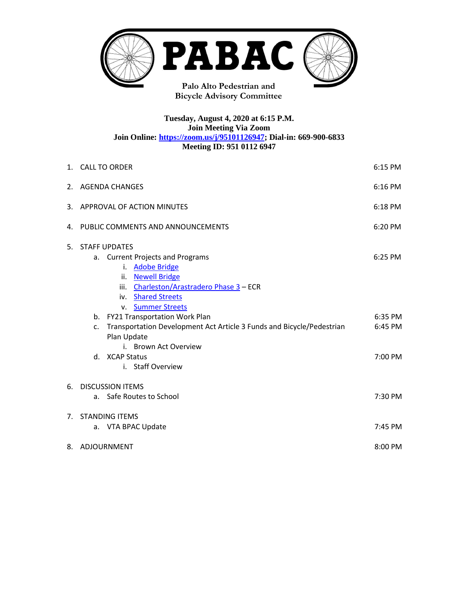

**Bicycle Advisory Committee**

## **Tuesday, August 4, 2020 at 6:15 P.M. Join Meeting Via Zoom Join Online: [https://zoom.us/j/95101126947;](https://zoom.us/j/95101126947) Dial-in: 669-900-6833 Meeting ID: 951 0112 6947**

|    | 1. CALL TO ORDER<br>6:15 PM                                                                                                                                                                                                                                                                                                                                                                |                                          |  |  |
|----|--------------------------------------------------------------------------------------------------------------------------------------------------------------------------------------------------------------------------------------------------------------------------------------------------------------------------------------------------------------------------------------------|------------------------------------------|--|--|
|    | 6:16 PM<br>2. AGENDA CHANGES                                                                                                                                                                                                                                                                                                                                                               |                                          |  |  |
|    | 3. APPROVAL OF ACTION MINUTES<br>6:18 PM                                                                                                                                                                                                                                                                                                                                                   |                                          |  |  |
|    | 4. PUBLIC COMMENTS AND ANNOUNCEMENTS<br>6:20 PM                                                                                                                                                                                                                                                                                                                                            |                                          |  |  |
| 5. | <b>STAFF UPDATES</b><br>a. Current Projects and Programs<br>i. Adobe Bridge<br>ii. Newell Bridge<br>iii. Charleston/Arastradero Phase 3 - ECR<br>iv. Shared Streets<br>v. Summer Streets<br>b. FY21 Transportation Work Plan<br>Transportation Development Act Article 3 Funds and Bicycle/Pedestrian<br>c.<br>Plan Update<br>i. Brown Act Overview<br>d. XCAP Status<br>i. Staff Overview | 6:25 PM<br>6:35 PM<br>6:45 PM<br>7:00 PM |  |  |
| 6. | <b>DISCUSSION ITEMS</b>                                                                                                                                                                                                                                                                                                                                                                    |                                          |  |  |
|    | a. Safe Routes to School                                                                                                                                                                                                                                                                                                                                                                   | 7:30 PM                                  |  |  |
| 7. | <b>STANDING ITEMS</b>                                                                                                                                                                                                                                                                                                                                                                      |                                          |  |  |
|    | a. VTA BPAC Update                                                                                                                                                                                                                                                                                                                                                                         | 7:45 PM                                  |  |  |
|    | 8. ADJOURNMENT<br>8:00 PM                                                                                                                                                                                                                                                                                                                                                                  |                                          |  |  |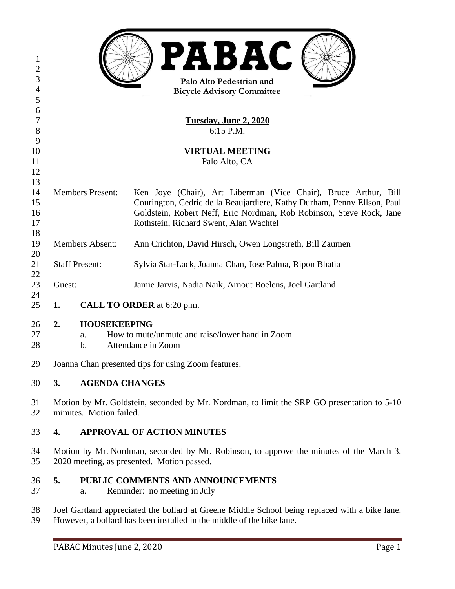| $\mathbf{I}$<br>$\overline{c}$<br>3<br>$\overline{4}$<br>5 | PABAC<br>Palo Alto Pedestrian and<br><b>Bicycle Advisory Committee</b>                                                                                                  |               |                                                                         |  |  |
|------------------------------------------------------------|-------------------------------------------------------------------------------------------------------------------------------------------------------------------------|---------------|-------------------------------------------------------------------------|--|--|
| 6                                                          |                                                                                                                                                                         |               |                                                                         |  |  |
| 7                                                          | Tuesday, June 2, 2020                                                                                                                                                   |               |                                                                         |  |  |
| 8                                                          | 6:15 P.M.                                                                                                                                                               |               |                                                                         |  |  |
| 9                                                          |                                                                                                                                                                         |               |                                                                         |  |  |
| 10                                                         | <b>VIRTUAL MEETING</b>                                                                                                                                                  |               |                                                                         |  |  |
| 11                                                         | Palo Alto, CA                                                                                                                                                           |               |                                                                         |  |  |
| 12                                                         |                                                                                                                                                                         |               |                                                                         |  |  |
| 13                                                         |                                                                                                                                                                         |               |                                                                         |  |  |
| 14                                                         | <b>Members Present:</b><br>Ken Joye (Chair), Art Liberman (Vice Chair), Bruce Arthur, Bill                                                                              |               |                                                                         |  |  |
| 15                                                         |                                                                                                                                                                         |               | Courington, Cedric de la Beaujardiere, Kathy Durham, Penny Ellson, Paul |  |  |
| 16                                                         |                                                                                                                                                                         |               | Goldstein, Robert Neff, Eric Nordman, Rob Robinson, Steve Rock, Jane    |  |  |
| 17                                                         | Rothstein, Richard Swent, Alan Wachtel                                                                                                                                  |               |                                                                         |  |  |
| 18                                                         |                                                                                                                                                                         |               |                                                                         |  |  |
| <b>Members Absent:</b><br>19                               |                                                                                                                                                                         |               | Ann Crichton, David Hirsch, Owen Longstreth, Bill Zaumen                |  |  |
| 20                                                         |                                                                                                                                                                         |               |                                                                         |  |  |
| 21                                                         | <b>Staff Present:</b>                                                                                                                                                   |               | Sylvia Star-Lack, Joanna Chan, Jose Palma, Ripon Bhatia                 |  |  |
| 22                                                         |                                                                                                                                                                         |               |                                                                         |  |  |
| 23                                                         | Guest:                                                                                                                                                                  |               | Jamie Jarvis, Nadia Naik, Arnout Boelens, Joel Gartland                 |  |  |
| 24<br>25                                                   | 1.<br>CALL TO ORDER at 6:20 p.m.                                                                                                                                        |               |                                                                         |  |  |
|                                                            |                                                                                                                                                                         |               |                                                                         |  |  |
| 26                                                         | <b>HOUSEKEEPING</b><br>2.                                                                                                                                               |               |                                                                         |  |  |
| 27                                                         |                                                                                                                                                                         | a.            | How to mute/unmute and raise/lower hand in Zoom                         |  |  |
| 28                                                         |                                                                                                                                                                         | $\mathbf b$ . | Attendance in Zoom                                                      |  |  |
| 29                                                         | Joanna Chan presented tips for using Zoom features.                                                                                                                     |               |                                                                         |  |  |
| 30                                                         | 3.                                                                                                                                                                      |               | <b>AGENDA CHANGES</b>                                                   |  |  |
| 31<br>32                                                   | Motion by Mr. Goldstein, seconded by Mr. Nordman, to limit the SRP GO presentation to 5-10<br>minutes. Motion failed.                                                   |               |                                                                         |  |  |
| 33                                                         | <b>APPROVAL OF ACTION MINUTES</b><br>4.                                                                                                                                 |               |                                                                         |  |  |
| 34<br>35                                                   | Motion by Mr. Nordman, seconded by Mr. Robinson, to approve the minutes of the March 3,<br>2020 meeting, as presented. Motion passed.                                   |               |                                                                         |  |  |
| 36<br>37                                                   | 5.                                                                                                                                                                      | a.            | PUBLIC COMMENTS AND ANNOUNCEMENTS<br>Reminder: no meeting in July       |  |  |
| 38<br>39                                                   | Joel Gartland appreciated the bollard at Greene Middle School being replaced with a bike lane.<br>However, a bollard has been installed in the middle of the bike lane. |               |                                                                         |  |  |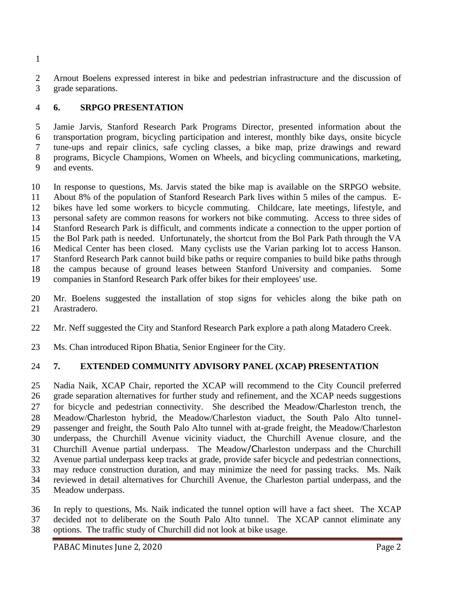Arnout Boelens expressed interest in bike and pedestrian infrastructure and the discussion of grade separations.

## **6. SRPGO PRESENTATION**

 Jamie Jarvis, Stanford Research Park Programs Director, presented information about the transportation program, bicycling participation and interest, monthly bike days, onsite bicycle tune-ups and repair clinics, safe cycling classes, a bike map, prize drawings and reward programs, Bicycle Champions, Women on Wheels, and bicycling communications, marketing, and events.

 In response to questions, Ms. Jarvis stated the bike map is available on the SRPGO website. About 8% of the population of Stanford Research Park lives within 5 miles of the campus. E- bikes have led some workers to bicycle commuting. Childcare, late meetings, lifestyle, and personal safety are common reasons for workers not bike commuting. Access to three sides of Stanford Research Park is difficult, and comments indicate a connection to the upper portion of the Bol Park path is needed. Unfortunately, the shortcut from the Bol Park Path through the VA Medical Center has been closed. Many cyclists use the Varian parking lot to access Hanson. Stanford Research Park cannot build bike paths or require companies to build bike paths through the campus because of ground leases between Stanford University and companies. Some companies in Stanford Research Park offer bikes for their employees' use.

 Mr. Boelens suggested the installation of stop signs for vehicles along the bike path on Arastradero.

- Mr. Neff suggested the City and Stanford Research Park explore a path along Matadero Creek.
- Ms. Chan introduced Ripon Bhatia, Senior Engineer for the City.

## **7. EXTENDED COMMUNITY ADVISORY PANEL (XCAP) PRESENTATION**

 Nadia Naik, XCAP Chair, reported the XCAP will recommend to the City Council preferred grade separation alternatives for further study and refinement, and the XCAP needs suggestions for bicycle and pedestrian connectivity. She described the Meadow/Charleston trench, the Meadow/Charleston hybrid, the Meadow/Charleston viaduct, the South Palo Alto tunnel- passenger and freight, the South Palo Alto tunnel with at-grade freight, the Meadow/Charleston underpass, the Churchill Avenue vicinity viaduct, the Churchill Avenue closure, and the Churchill Avenue partial underpass. The Meadow/Charleston underpass and the Churchill Avenue partial underpass keep tracks at grade, provide safer bicycle and pedestrian connections, may reduce construction duration, and may minimize the need for passing tracks. Ms. Naik reviewed in detail alternatives for Churchill Avenue, the Charleston partial underpass, and the Meadow underpass.

 In reply to questions, Ms. Naik indicated the tunnel option will have a fact sheet. The XCAP decided not to deliberate on the South Palo Alto tunnel. The XCAP cannot eliminate any options. The traffic study of Churchill did not look at bike usage.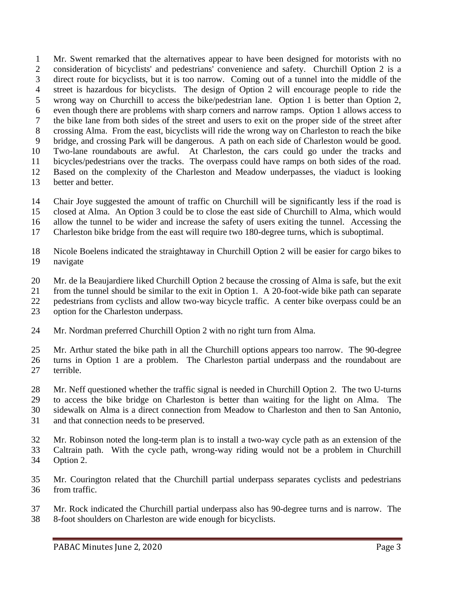Mr. Swent remarked that the alternatives appear to have been designed for motorists with no consideration of bicyclists' and pedestrians' convenience and safety. Churchill Option 2 is a direct route for bicyclists, but it is too narrow. Coming out of a tunnel into the middle of the street is hazardous for bicyclists. The design of Option 2 will encourage people to ride the wrong way on Churchill to access the bike/pedestrian lane. Option 1 is better than Option 2, even though there are problems with sharp corners and narrow ramps. Option 1 allows access to the bike lane from both sides of the street and users to exit on the proper side of the street after crossing Alma. From the east, bicyclists will ride the wrong way on Charleston to reach the bike bridge, and crossing Park will be dangerous. A path on each side of Charleston would be good. Two-lane roundabouts are awful. At Charleston, the cars could go under the tracks and bicycles/pedestrians over the tracks. The overpass could have ramps on both sides of the road. Based on the complexity of the Charleston and Meadow underpasses, the viaduct is looking better and better.

- Chair Joye suggested the amount of traffic on Churchill will be significantly less if the road is
- closed at Alma. An Option 3 could be to close the east side of Churchill to Alma, which would
- allow the tunnel to be wider and increase the safety of users exiting the tunnel. Accessing the
- Charleston bike bridge from the east will require two 180-degree turns, which is suboptimal.
- Nicole Boelens indicated the straightaway in Churchill Option 2 will be easier for cargo bikes to navigate
- Mr. de la Beaujardiere liked Churchill Option 2 because the crossing of Alma is safe, but the exit
- from the tunnel should be similar to the exit in Option 1. A 20-foot-wide bike path can separate
- pedestrians from cyclists and allow two-way bicycle traffic. A center bike overpass could be an
- option for the Charleston underpass.
- Mr. Nordman preferred Churchill Option 2 with no right turn from Alma.

 Mr. Arthur stated the bike path in all the Churchill options appears too narrow. The 90-degree turns in Option 1 are a problem. The Charleston partial underpass and the roundabout are terrible.

- Mr. Neff questioned whether the traffic signal is needed in Churchill Option 2. The two U-turns to access the bike bridge on Charleston is better than waiting for the light on Alma. The sidewalk on Alma is a direct connection from Meadow to Charleston and then to San Antonio, and that connection needs to be preserved.
- Mr. Robinson noted the long-term plan is to install a two-way cycle path as an extension of the
- Caltrain path. With the cycle path, wrong-way riding would not be a problem in Churchill
- Option 2.
- Mr. Courington related that the Churchill partial underpass separates cyclists and pedestrians from traffic.
- Mr. Rock indicated the Churchill partial underpass also has 90-degree turns and is narrow. The 8-foot shoulders on Charleston are wide enough for bicyclists.